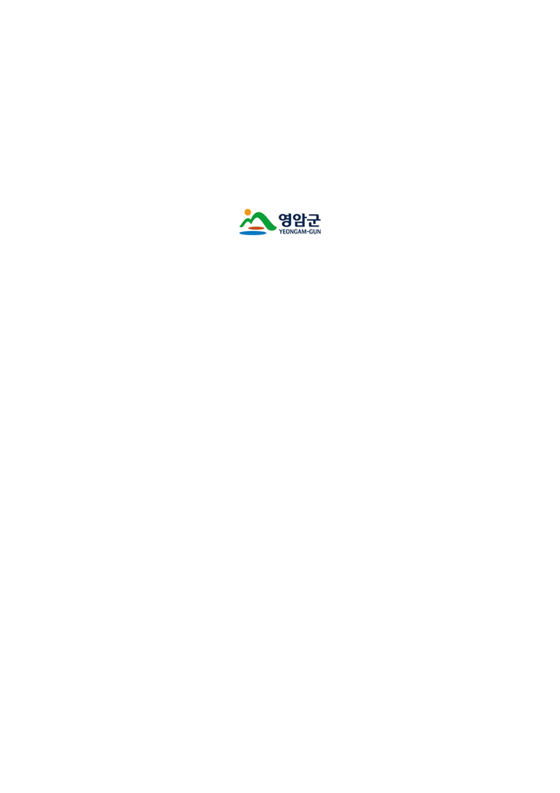